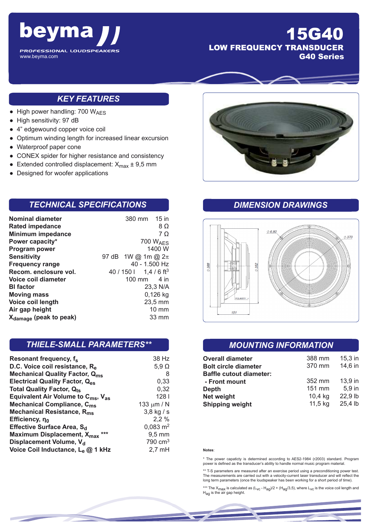

## 15G40 LOW FREQUENCY TRANSDUCER G40 Series

#### *KEY FEATURES*

- $\bullet$  High power handling: 700 W<sub>AES</sub>
- High sensitivity: 97 dB
- 4" edgewound copper voice coil
- Optimum winding length for increased linear excursion
- Waterproof paper cone
- CONEX spider for higher resistance and consistency
- Extended controlled displacement:  $X_{\text{max}} \pm 9.5 \text{ mm}$
- Designed for woofer applications

#### *TECHNICAL SPECIFICATIONS*

| <b>Nominal diameter</b>            | 380 mm 15 in                     |
|------------------------------------|----------------------------------|
| <b>Rated impedance</b>             | 8Ω                               |
| <b>Minimum impedance</b>           | $7\Omega$                        |
| Power capacity*                    | 700 W <sub>AFS</sub>             |
| Program power                      | 1400 W                           |
| <b>Sensitivity</b>                 | 97 dB 1W @ 1m @ $2\pi$           |
| <b>Frequency range</b>             | 40 - 1.500 Hz                    |
| Recom. enclosure vol.              | $40/150$   1.4/6 ft <sup>3</sup> |
| Voice coil diameter                | 100 mm<br>4 in                   |
| <b>BI</b> factor                   | 23,3 N/A                         |
| <b>Moving mass</b>                 | 0,126 kg                         |
| Voice coil length                  | $23,5$ mm                        |
| Air gap height                     | 10 mm                            |
| X <sub>damage</sub> (peak to peak) | 33 mm                            |

#### *THIELE-SMALL PARAMETERS\*\**

| Resonant frequency, f <sub>s</sub>                         | 38 Hz               |
|------------------------------------------------------------|---------------------|
| D.C. Voice coil resistance, R <sub>e</sub>                 | $5,9$ $\Omega$      |
| <b>Mechanical Quality Factor, Qms</b>                      | 8                   |
| <b>Electrical Quality Factor, Qes</b>                      | 0,33                |
| <b>Total Quality Factor, Qts</b>                           | 0,32                |
| Equivalent Air Volume to $C_{\text{ms}}$ , $V_{\text{as}}$ | 128 <sub>1</sub>    |
| Mechanical Compliance, C <sub>ms</sub>                     | 133 $\mu$ m / N     |
| Mechanical Resistance, R <sub>ms</sub>                     | $3,8$ kg / s        |
| Efficiency, $\eta_0$                                       | 2,2%                |
| Effective Surface Area, S <sub>d</sub>                     | $0,083 \text{ m}^2$ |
| Maximum Displacement, X <sub>max</sub><br>***              | $9,5$ mm            |
| Displacement Volume, V <sub>d</sub>                        | $790 \text{ cm}^3$  |
| Voice Coil Inductance, Le @ 1 kHz                          | $2,7$ mH            |



### *DIMENSION DRAWINGS*



#### *MOUNTING INFORMATION*

| <b>Overall diameter</b>        | 388 mm  | $15,3$ in |
|--------------------------------|---------|-----------|
| <b>Bolt circle diameter</b>    | 370 mm  | 14,6 in   |
| <b>Baffle cutout diameter:</b> |         |           |
| - Front mount                  | 352 mm  | $13.9$ in |
| Depth                          | 151 mm  | 5,9 in    |
| Net weight                     | 10,4 kg | 22,9 lb   |
| <b>Shipping weight</b>         | 11,5 kg | 25,4 lb   |

#### **Notes**:

\* The power capaticty is determined according to AES2-1984 (r2003) standard. Program power is defined as the transducer's ability to handle normal music program material.

\*\* T-S parameters are measured after an exercise period using a preconditioning power test. The measurements are carried out with a velocity-current laser transducer and will reflect the long term parameters (once the loudspeaker has been working for a short period of time).

\*\*\* The  $X_{\text{max}}$  is calculated as  $(L_{\text{VC}} - H_{\text{ag}})/2 + (H_{\text{ag}}/3, 5)$ , where  $L_{\text{VC}}$  is the voice coil length and H<sub>ag</sub> is the air gap height.